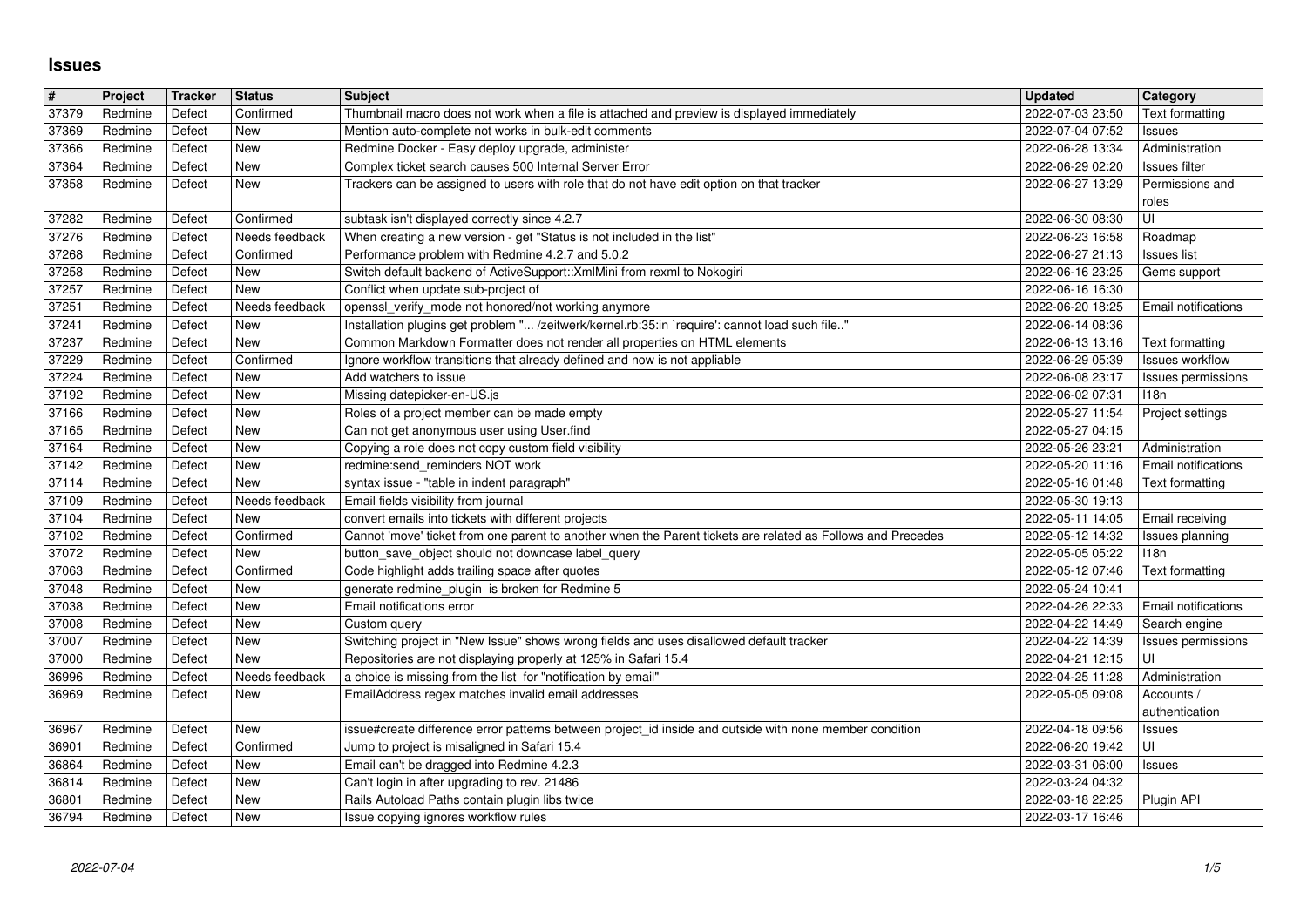## **Issues**

| $\overline{\#}$<br>37379 | Project            | <b>Tracker</b>   | <b>Status</b><br>Confirmed   | <b>Subject</b><br>Thumbnail macro does not work when a file is attached and preview is displayed immediately                                                       | <b>Updated</b>                       | Category                            |
|--------------------------|--------------------|------------------|------------------------------|--------------------------------------------------------------------------------------------------------------------------------------------------------------------|--------------------------------------|-------------------------------------|
| 37369                    | Redmine<br>Redmine | Defect<br>Defect | New                          | Mention auto-complete not works in bulk-edit comments                                                                                                              | 2022-07-03 23:50<br>2022-07-04 07:52 | Text formatting<br>Issues           |
| 37366<br>37364           | Redmine<br>Redmine | Defect<br>Defect | New<br>New                   | Redmine Docker - Easy deploy upgrade, administer<br>Complex ticket search causes 500 Internal Server Error                                                         | 2022-06-28 13:34<br>2022-06-29 02:20 | Administration<br>Issues filter     |
| 37358                    | Redmine            | Defect           | New                          | Trackers can be assigned to users with role that do not have edit option on that tracker                                                                           | 2022-06-27 13:29                     | Permissions and                     |
| 37282                    | Redmine            | Defect           | Confirmed                    | subtask isn't displayed correctly since 4.2.7                                                                                                                      | 2022-06-30 08:30                     | roles<br>UI                         |
| 37276                    | Redmine            | Defect           | Needs feedback               | When creating a new version - get "Status is not included in the list"                                                                                             | 2022-06-23 16:58                     | Roadmap                             |
| 37268<br>37258           | Redmine<br>Redmine | Defect<br>Defect | Confirmed<br>New             | Performance problem with Redmine 4.2.7 and 5.0.2<br>Switch default backend of ActiveSupport:: XmlMini from rexml to Nokogiri                                       | 2022-06-27 21:13<br>2022-06-16 23:25 | <b>Issues list</b><br>Gems support  |
| 37257                    | Redmine            | Defect           | <b>New</b><br>Needs feedback | Conflict when update sub-project of                                                                                                                                | 2022-06-16 16:30<br>2022-06-20 18:25 |                                     |
| 37251<br>37241           | Redmine<br>Redmine | Defect<br>Defect | New                          | openssl_verify_mode not honored/not working anymore<br>Installation plugins get problem " /zeitwerk/kernel.rb:35:in `require': cannot load such file"              | 2022-06-14 08:36                     | Email notifications                 |
| 37237<br>37229           | Redmine<br>Redmine | Defect<br>Defect | New<br>Confirmed             | Common Markdown Formatter does not render all properties on HTML elements<br>Ignore workflow transitions that already defined and now is not appliable             | 2022-06-13 13:16<br>2022-06-29 05:39 | Text formatting<br>Issues workflow  |
| 37224                    | Redmine            | Defect           | New                          | Add watchers to issue                                                                                                                                              | 2022-06-08 23:17                     | Issues permissions                  |
| 37192<br>37166           | Redmine<br>Redmine | Defect<br>Defect | New<br>New                   | Missing datepicker-en-US.js<br>Roles of a project member can be made empty                                                                                         | 2022-06-02 07:31<br>2022-05-27 11:54 | 118n<br>Project settings            |
| 37165<br>37164           | Redmine<br>Redmine | Defect<br>Defect | New<br>New                   | Can not get anonymous user using User.find<br>Copying a role does not copy custom field visibility                                                                 | 2022-05-27 04:15<br>2022-05-26 23:21 | Administration                      |
| 37142                    | Redmine            | Defect           | New                          | redmine:send_reminders NOT work                                                                                                                                    | 2022-05-20 11:16                     | <b>Email notifications</b>          |
| 37114<br>37109           | Redmine<br>Redmine | Defect<br>Defect | New<br>Needs feedback        | syntax issue - "table in indent paragraph"<br>Email fields visibility from journal                                                                                 | 2022-05-16 01:48<br>2022-05-30 19:13 | Text formatting                     |
| 37104<br>37102           | Redmine<br>Redmine | Defect<br>Defect | New<br>Confirmed             | convert emails into tickets with different projects<br>Cannot 'move' ticket from one parent to another when the Parent tickets are related as Follows and Precedes | 2022-05-11 14:05<br>2022-05-12 14:32 | Email receiving<br>Issues planning  |
| 37072                    | Redmine            | Defect           | New                          | button_save_object should not downcase label_query                                                                                                                 | 2022-05-05 05:22                     | 118n                                |
| 37063<br>37048           | Redmine<br>Redmine | Defect<br>Defect | Confirmed<br>New             | Code highlight adds trailing space after quotes<br>generate redmine_plugin is broken for Redmine 5                                                                 | 2022-05-12 07:46<br>2022-05-24 10:41 | Text formatting                     |
| 37038<br>37008           | Redmine<br>Redmine | Defect<br>Defect | New<br>New                   | Email notifications error                                                                                                                                          | 2022-04-26 22:33<br>2022-04-22 14:49 | Email notifications                 |
| 37007                    | Redmine            | Defect           | New                          | Custom query<br>Switching project in "New Issue" shows wrong fields and uses disallowed default tracker                                                            | 2022-04-22 14:39                     | Search engine<br>Issues permissions |
| 37000<br>36996           | Redmine<br>Redmine | Defect<br>Defect | <b>New</b><br>Needs feedback | Repositories are not displaying properly at 125% in Safari 15.4<br>a choice is missing from the list for "notification by email"                                   | 2022-04-21 12:15<br>2022-04-25 11:28 | UI<br>Administration                |
| 36969                    | Redmine            | Defect           | New                          | EmailAddress regex matches invalid email addresses                                                                                                                 | 2022-05-05 09:08                     | Accounts /                          |
| 36967                    | Redmine            | Defect           | New                          | issue#create difference error patterns between project_id inside and outside with none member condition                                                            | 2022-04-18 09:56                     | authentication<br>Issues            |
| 36901<br>36864           | Redmine<br>Redmine | Defect<br>Defect | Confirmed<br>New             | Jump to project is misaligned in Safari 15.4<br>Email can't be dragged into Redmine 4.2.3                                                                          | 2022-06-20 19:42<br>2022-03-31 06:00 | UI<br><b>Issues</b>                 |
| 36814                    | Redmine            | Defect           | New                          | Can't login in after upgrading to rev. 21486                                                                                                                       | 2022-03-24 04:32                     |                                     |
| 36801<br>36794           | Redmine<br>Redmine | Defect<br>Defect | New<br>New                   | Rails Autoload Paths contain plugin libs twice<br>Issue copying ignores workflow rules                                                                             | 2022-03-18 22:25<br>2022-03-17 16:46 | Plugin API                          |
|                          |                    |                  |                              |                                                                                                                                                                    |                                      |                                     |
|                          |                    |                  |                              |                                                                                                                                                                    |                                      |                                     |
|                          |                    |                  |                              |                                                                                                                                                                    |                                      |                                     |
|                          |                    |                  |                              |                                                                                                                                                                    |                                      |                                     |
|                          |                    |                  |                              |                                                                                                                                                                    |                                      |                                     |
|                          |                    |                  |                              |                                                                                                                                                                    |                                      |                                     |
|                          |                    |                  |                              |                                                                                                                                                                    |                                      |                                     |
|                          |                    |                  |                              |                                                                                                                                                                    |                                      |                                     |
|                          |                    |                  |                              |                                                                                                                                                                    |                                      |                                     |
|                          |                    |                  |                              |                                                                                                                                                                    |                                      |                                     |
|                          |                    |                  |                              |                                                                                                                                                                    |                                      |                                     |
|                          |                    |                  |                              |                                                                                                                                                                    |                                      |                                     |
|                          |                    |                  |                              |                                                                                                                                                                    |                                      |                                     |
|                          |                    |                  |                              |                                                                                                                                                                    |                                      |                                     |
|                          |                    |                  |                              |                                                                                                                                                                    |                                      |                                     |
|                          |                    |                  |                              |                                                                                                                                                                    |                                      |                                     |
|                          |                    |                  |                              |                                                                                                                                                                    |                                      |                                     |
|                          |                    |                  |                              |                                                                                                                                                                    |                                      |                                     |
|                          |                    |                  |                              |                                                                                                                                                                    |                                      |                                     |
|                          |                    |                  |                              |                                                                                                                                                                    |                                      |                                     |
|                          |                    |                  |                              |                                                                                                                                                                    |                                      |                                     |
|                          |                    |                  |                              |                                                                                                                                                                    |                                      |                                     |
|                          |                    |                  |                              |                                                                                                                                                                    |                                      |                                     |
|                          |                    |                  |                              |                                                                                                                                                                    |                                      |                                     |
|                          |                    |                  |                              |                                                                                                                                                                    |                                      |                                     |
|                          |                    |                  |                              |                                                                                                                                                                    |                                      |                                     |
|                          |                    |                  |                              |                                                                                                                                                                    |                                      |                                     |
|                          |                    |                  |                              |                                                                                                                                                                    |                                      |                                     |
|                          |                    |                  |                              |                                                                                                                                                                    |                                      |                                     |
|                          |                    |                  |                              |                                                                                                                                                                    |                                      |                                     |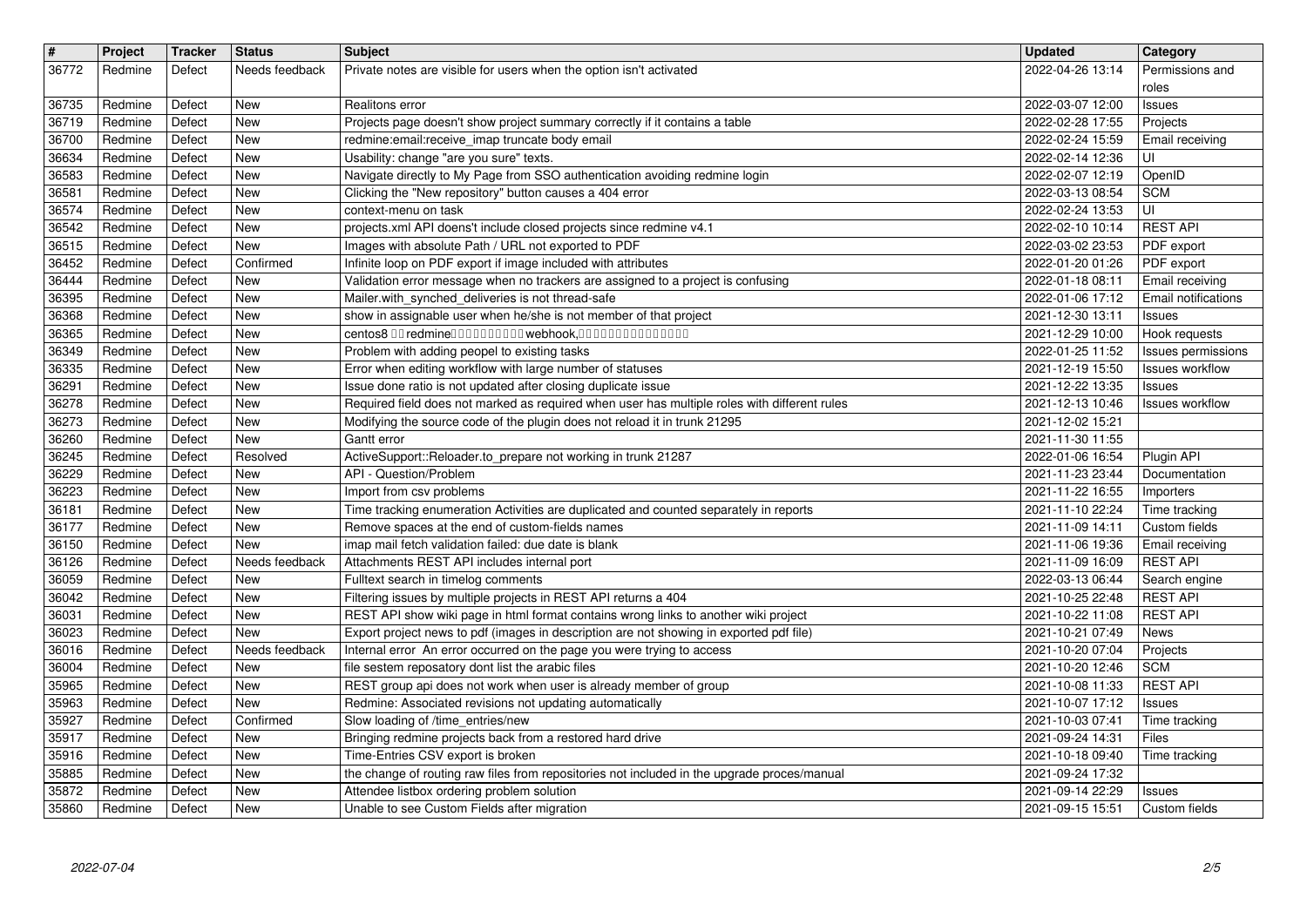| $\overline{\mathbf{r}}$<br>36772 | Project<br>Redmine | Tracker<br>Defect | Status<br>Needs feedback | <b>Subject</b>                                                                                                                                                                 | <b>Updated</b><br>2022-04-26 13:14   | Category<br>Permissions and           |
|----------------------------------|--------------------|-------------------|--------------------------|--------------------------------------------------------------------------------------------------------------------------------------------------------------------------------|--------------------------------------|---------------------------------------|
|                                  |                    |                   |                          | Private notes are visible for users when the option isn't activated                                                                                                            |                                      | roles                                 |
| 36735<br>36719                   | Redmine<br>Redmine | Defect<br>Defect  | New<br>New               | Realitons error<br>Projects page doesn't show project summary correctly if it contains a table                                                                                 | 2022-03-07 12:00<br>2022-02-28 17:55 | Issues<br>Projects                    |
| 36700                            | Redmine            | Defect            | New                      | redmine:email:receive_imap truncate body email                                                                                                                                 | 2022-02-24 15:59                     | Email receiving                       |
| 36634<br>36583                   | Redmine<br>Redmine | Defect<br>Defect  | New<br>New               | Usability: change "are you sure" texts.<br>Navigate directly to My Page from SSO authentication avoiding redmine login                                                         | 2022-02-14 12:36<br>2022-02-07 12:19 | UI<br>OpenID                          |
| 36581                            | Redmine            | Defect            | New                      | Clicking the "New repository" button causes a 404 error                                                                                                                        | 2022-03-13 08:54                     | <b>SCM</b>                            |
| 36574<br>36542                   | Redmine<br>Redmine | Defect<br>Defect  | New<br>New               | context-menu on task<br>projects.xml API doens't include closed projects since redmine v4.1                                                                                    | 2022-02-24 13:53<br>2022-02-10 10:14 | UI<br><b>REST API</b>                 |
| 36515<br>36452                   | Redmine<br>Redmine | Defect<br>Defect  | New<br>Confirmed         | Images with absolute Path / URL not exported to PDF<br>Infinite loop on PDF export if image included with attributes                                                           | 2022-03-02 23:53<br>2022-01-20 01:26 | PDF export<br>PDF export              |
| 36444                            | Redmine            | Defect            | New                      | Validation error message when no trackers are assigned to a project is confusing                                                                                               | 2022-01-18 08:11                     | Email receiving                       |
| 36395<br>36368                   | Redmine<br>Redmine | Defect<br>Defect  | New<br>New               | Mailer.with_synched_deliveries is not thread-safe<br>show in assignable user when he/she is not member of that project                                                         | 2022-01-06 17:12<br>2021-12-30 13:11 | Email notifications<br><b>Issues</b>  |
| 36365                            | Redmine            | Defect            | New                      | centos8 00 redmine0000000000 webhook,000000000000000                                                                                                                           | 2021-12-29 10:00                     | Hook requests                         |
| 36349<br>36335                   | Redmine<br>Redmine | Defect<br>Defect  | New<br>New               | Problem with adding peopel to existing tasks<br>Error when editing workflow with large number of statuses                                                                      | 2022-01-25 11:52<br>2021-12-19 15:50 | Issues permissions<br>Issues workflow |
| 36291<br>36278                   | Redmine<br>Redmine | Defect<br>Defect  | New<br>New               | Issue done ratio is not updated after closing duplicate issue<br>Required field does not marked as required when user has multiple roles with different rules                  | 2021-12-22 13:35<br>2021-12-13 10:46 | Issues<br><b>Issues workflow</b>      |
| 36273                            | Redmine            | Defect            | New                      | Modifying the source code of the plugin does not reload it in trunk 21295                                                                                                      | 2021-12-02 15:21                     |                                       |
| 36260<br>36245                   | Redmine<br>Redmine | Defect<br>Defect  | New<br>Resolved          | Gantt error<br>ActiveSupport::Reloader.to_prepare not working in trunk 21287                                                                                                   | 2021-11-30 11:55<br>2022-01-06 16:54 | Plugin API                            |
| 36229<br>36223                   | Redmine<br>Redmine | Defect<br>Defect  | New<br>New               | API - Question/Problem<br>Import from csv problems                                                                                                                             | 2021-11-23 23:44<br>2021-11-22 16:55 | Documentation<br>Importers            |
| 36181                            | Redmine            | Defect            | New                      | Time tracking enumeration Activities are duplicated and counted separately in reports                                                                                          | 2021-11-10 22:24                     | Time tracking                         |
| 36177<br>36150                   | Redmine<br>Redmine | Defect<br>Defect  | New<br>New               | Remove spaces at the end of custom-fields names<br>imap mail fetch validation failed: due date is blank                                                                        | 2021-11-09 14:11<br>2021-11-06 19:36 | Custom fields<br>Email receiving      |
| 36126                            | Redmine            | Defect            | Needs feedback           | Attachments REST API includes internal port                                                                                                                                    | 2021-11-09 16:09                     | <b>REST API</b>                       |
| 36059<br>36042                   | Redmine<br>Redmine | Defect<br>Defect  | New<br>New               | Fulltext search in timelog comments<br>Filtering issues by multiple projects in REST API returns a 404                                                                         | 2022-03-13 06:44<br>2021-10-25 22:48 | Search engine<br><b>REST API</b>      |
| 36031<br>36023                   | Redmine<br>Redmine | Defect<br>Defect  | New<br>New               | REST API show wiki page in html format contains wrong links to another wiki project<br>Export project news to pdf (images in description are not showing in exported pdf file) | 2021-10-22 11:08<br>2021-10-21 07:49 | <b>REST API</b><br>News               |
| 36016                            | Redmine            | Defect            | Needs feedback           | Internal error An error occurred on the page you were trying to access                                                                                                         | 2021-10-20 07:04                     | Projects                              |
| 36004<br>35965                   | Redmine<br>Redmine | Defect<br>Defect  | New<br>New               | file sestem reposatory dont list the arabic files<br>REST group api does not work when user is already member of group                                                         | 2021-10-20 12:46<br>2021-10-08 11:33 | <b>SCM</b><br><b>REST API</b>         |
| 35963<br>35927                   | Redmine<br>Redmine | Defect<br>Defect  | New<br>Confirmed         | Redmine: Associated revisions not updating automatically<br>Slow loading of /time_entries/new                                                                                  | 2021-10-07 17:12<br>2021-10-03 07:41 | Issues<br>Time tracking               |
| 35917                            | Redmine            | Defect            | New                      | Bringing redmine projects back from a restored hard drive                                                                                                                      | 2021-09-24 14:31                     | Files                                 |
| 35916<br>35885                   | Redmine<br>Redmine | Defect<br>Defect  | New<br>New               | Time-Entries CSV export is broken<br>the change of routing raw files from repositories not included in the upgrade proces/manual                                               | 2021-10-18 09:40<br>2021-09-24 17:32 | Time tracking                         |
| 35872<br>35860                   | Redmine<br>Redmine | Defect<br>Defect  | New<br>New               | Attendee listbox ordering problem solution<br>Unable to see Custom Fields after migration                                                                                      | 2021-09-14 22:29<br>2021-09-15 15:51 | Issues<br>Custom fields               |
|                                  |                    |                   |                          |                                                                                                                                                                                |                                      |                                       |
|                                  |                    |                   |                          |                                                                                                                                                                                |                                      |                                       |
|                                  |                    |                   |                          |                                                                                                                                                                                |                                      |                                       |
|                                  |                    |                   |                          |                                                                                                                                                                                |                                      |                                       |
|                                  |                    |                   |                          |                                                                                                                                                                                |                                      |                                       |
|                                  |                    |                   |                          |                                                                                                                                                                                |                                      |                                       |
|                                  |                    |                   |                          |                                                                                                                                                                                |                                      |                                       |
|                                  |                    |                   |                          |                                                                                                                                                                                |                                      |                                       |
|                                  |                    |                   |                          |                                                                                                                                                                                |                                      |                                       |
|                                  |                    |                   |                          |                                                                                                                                                                                |                                      |                                       |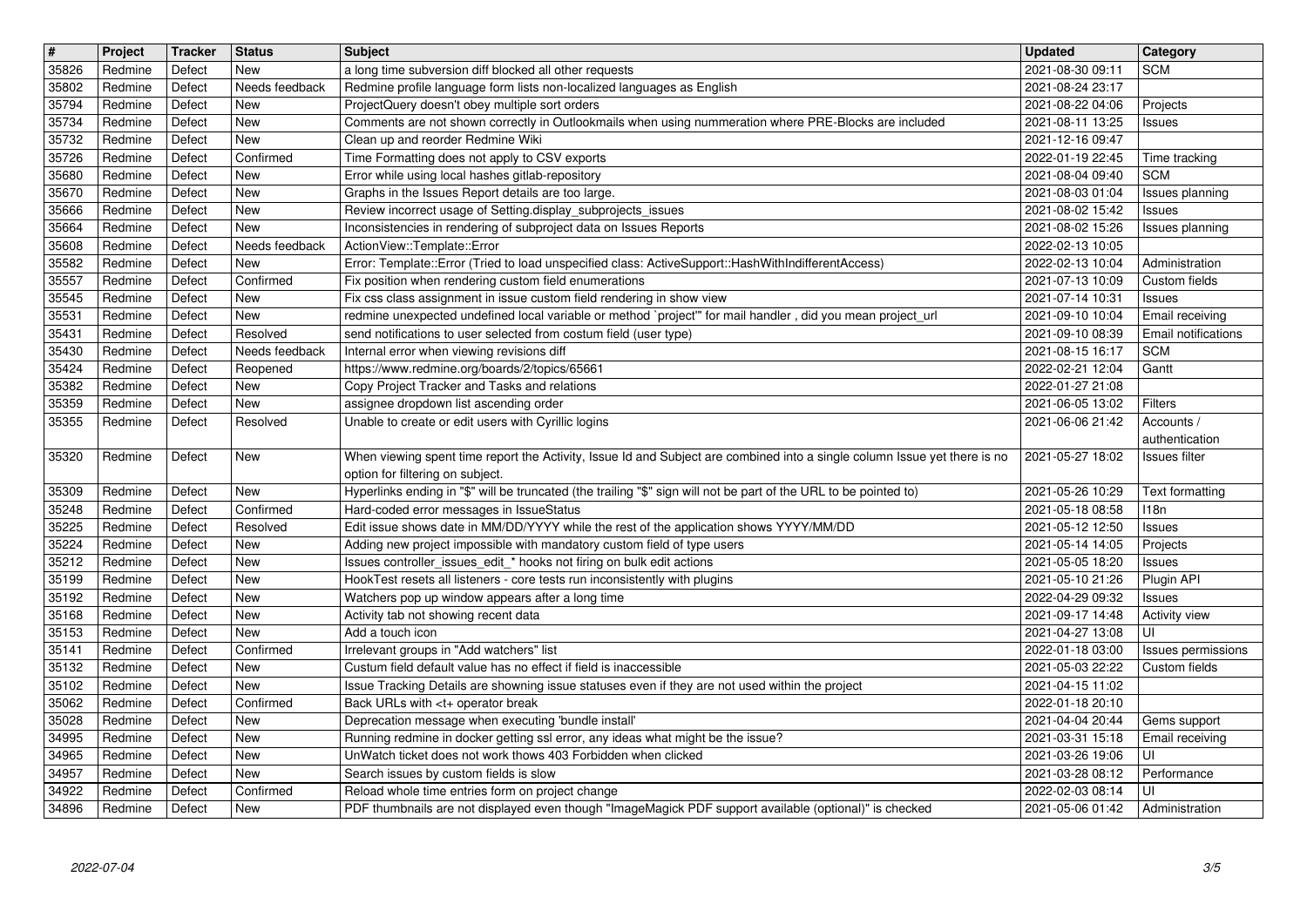| $\overline{\mathbf{t}}$ | Project            | Tracker          | <b>Status</b>              | <b>Subject</b>                                                                                                                                                                      | <b>Updated</b>                       | <b>Category</b>                  |
|-------------------------|--------------------|------------------|----------------------------|-------------------------------------------------------------------------------------------------------------------------------------------------------------------------------------|--------------------------------------|----------------------------------|
| 35826<br>35802          | Redmine<br>Redmine | Defect<br>Defect | New<br>Needs feedback      | a long time subversion diff blocked all other requests<br>Redmine profile language form lists non-localized languages as English                                                    | 2021-08-30 09:11<br>2021-08-24 23:17 | <b>SCM</b>                       |
| 35794                   | Redmine            | Defect           | New                        | ProjectQuery doesn't obey multiple sort orders                                                                                                                                      | 2021-08-22 04:06                     | Projects                         |
| 35734<br>35732          | Redmine<br>Redmine | Defect<br>Defect | New<br>New                 | Comments are not shown correctly in Outlookmails when using nummeration where PRE-Blocks are included<br>Clean up and reorder Redmine Wiki                                          | 2021-08-11 13:25<br>2021-12-16 09:47 | Issues                           |
| 35726                   | Redmine            | Defect           | Confirmed                  | Time Formatting does not apply to CSV exports                                                                                                                                       | 2022-01-19 22:45                     | Time tracking                    |
| 35680<br>35670          | Redmine<br>Redmine | Defect<br>Defect | New<br>New                 | Error while using local hashes gitlab-repository<br>Graphs in the Issues Report details are too large.                                                                              | 2021-08-04 09:40<br>2021-08-03 01:04 | <b>SCM</b><br>Issues planning    |
| 35666                   | Redmine            | Defect           | New                        | Review incorrect usage of Setting.display_subprojects_issues                                                                                                                        | 2021-08-02 15:42                     | Issues                           |
| 35664                   | Redmine            | Defect<br>Defect | New<br>Needs feedback      | Inconsistencies in rendering of subproject data on Issues Reports<br>ActionView::Template::Error                                                                                    | 2021-08-02 15:26<br>2022-02-13 10:05 | Issues planning                  |
| 35608<br>35582          | Redmine<br>Redmine | Defect           | New                        | Error: Template::Error (Tried to load unspecified class: ActiveSupport::HashWithIndifferentAccess)                                                                                  | 2022-02-13 10:04                     | Administration                   |
| 35557                   | Redmine            | Defect           | Confirmed                  | Fix position when rendering custom field enumerations                                                                                                                               | 2021-07-13 10:09                     | Custom fields                    |
| 35545<br>35531          | Redmine<br>Redmine | Defect<br>Defect | New<br>New                 | Fix css class assignment in issue custom field rendering in show view<br>redmine unexpected undefined local variable or method `project" for mail handler, did you mean project_url | 2021-07-14 10:31<br>2021-09-10 10:04 | <b>Issues</b><br>Email receiving |
| 35431                   | Redmine            | Defect           | Resolved                   | send notifications to user selected from costum field (user type)                                                                                                                   | 2021-09-10 08:39                     | <b>Email notifications</b>       |
| 35430<br>35424          | Redmine<br>Redmine | Defect<br>Defect | Needs feedback<br>Reopened | Internal error when viewing revisions diff<br>https://www.redmine.org/boards/2/topics/65661                                                                                         | 2021-08-15 16:17<br>2022-02-21 12:04 | <b>SCM</b><br>Gantt              |
| 35382                   | Redmine            | Defect           | New                        | Copy Project Tracker and Tasks and relations                                                                                                                                        | 2022-01-27 21:08                     |                                  |
| 35359                   | Redmine            | Defect           | New                        | assignee dropdown list ascending order<br>Unable to create or edit users with Cyrillic logins                                                                                       | 2021-06-05 13:02<br>2021-06-06 21:42 | Filters                          |
| 35355                   | Redmine            | Defect           | Resolved                   |                                                                                                                                                                                     |                                      | Accounts /<br>authentication     |
| 35320                   | Redmine            | Defect           | New                        | When viewing spent time report the Activity, Issue Id and Subject are combined into a single column Issue yet there is no                                                           | 2021-05-27 18:02                     | Issues filter                    |
| 35309                   | Redmine            | Defect           | New                        | option for filtering on subject.<br>Hyperlinks ending in "\$" will be truncated (the trailing "\$" sign will not be part of the URL to be pointed to)                               | 2021-05-26 10:29                     | Text formatting                  |
| 35248                   | Redmine            | Defect           | Confirmed                  | Hard-coded error messages in IssueStatus                                                                                                                                            | 2021-05-18 08:58                     | 118n                             |
| 35225                   | Redmine            | Defect           | Resolved                   | Edit issue shows date in MM/DD/YYYY while the rest of the application shows YYYY/MM/DD                                                                                              | 2021-05-12 12:50                     | Issues                           |
| 35224<br>35212          | Redmine<br>Redmine | Defect<br>Defect | New<br>New                 | Adding new project impossible with mandatory custom field of type users<br>Issues controller_issues_edit_* hooks not firing on bulk edit actions                                    | 2021-05-14 14:05<br>2021-05-05 18:20 | Projects<br>Issues               |
| 35199                   | Redmine            | Defect           | New                        | HookTest resets all listeners - core tests run inconsistently with plugins                                                                                                          | 2021-05-10 21:26                     | Plugin API                       |
| 35192<br>35168          | Redmine<br>Redmine | Defect<br>Defect | New<br>New                 | Watchers pop up window appears after a long time<br>Activity tab not showing recent data                                                                                            | 2022-04-29 09:32<br>2021-09-17 14:48 | Issues<br><b>Activity view</b>   |
| 35153                   | Redmine            | Defect           | New                        | Add a touch icon                                                                                                                                                                    | 2021-04-27 13:08                     | UI                               |
| 35141                   | Redmine            | Defect           | Confirmed                  | Irrelevant groups in "Add watchers" list                                                                                                                                            | 2022-01-18 03:00                     | Issues permissions               |
| 35132<br>35102          | Redmine<br>Redmine | Defect<br>Defect | New<br>New                 | Custum field default value has no effect if field is inaccessible<br>Issue Tracking Details are showning issue statuses even if they are not used within the project                | 2021-05-03 22:22<br>2021-04-15 11:02 | Custom fields                    |
| 35062                   | Redmine            | Defect           | Confirmed                  | Back URLs with <t+ break<="" operator="" td=""><td>2022-01-18 20:10</td><td></td></t+>                                                                                              | 2022-01-18 20:10                     |                                  |
| 35028                   | Redmine            | Defect           | New                        | Deprecation message when executing 'bundle install'                                                                                                                                 | 2021-04-04 20:44                     | Gems support                     |
| 34995<br>34965          | Redmine<br>Redmine | Defect<br>Defect | New<br>New                 | Running redmine in docker getting ssl error, any ideas what might be the issue?<br>UnWatch ticket does not work thows 403 Forbidden when clicked                                    | 2021-03-31 15:18<br>2021-03-26 19:06 | Email receiving<br>UI            |
| 34957                   | Redmine            | Defect           | New                        | Search issues by custom fields is slow                                                                                                                                              | 2021-03-28 08:12                     | Performance                      |
| 34922<br>34896          | Redmine<br>Redmine | Defect<br>Defect | Confirmed<br>New           | Reload whole time entries form on project change<br>PDF thumbnails are not displayed even though "ImageMagick PDF support available (optional)" is checked                          | 2022-02-03 08:14<br>2021-05-06 01:42 | UI<br>Administration             |
|                         |                    |                  |                            |                                                                                                                                                                                     |                                      |                                  |
|                         |                    |                  |                            |                                                                                                                                                                                     |                                      |                                  |
|                         |                    |                  |                            |                                                                                                                                                                                     |                                      |                                  |
|                         |                    |                  |                            |                                                                                                                                                                                     |                                      |                                  |
|                         |                    |                  |                            |                                                                                                                                                                                     |                                      |                                  |
|                         |                    |                  |                            |                                                                                                                                                                                     |                                      |                                  |
|                         |                    |                  |                            |                                                                                                                                                                                     |                                      |                                  |
|                         |                    |                  |                            |                                                                                                                                                                                     |                                      |                                  |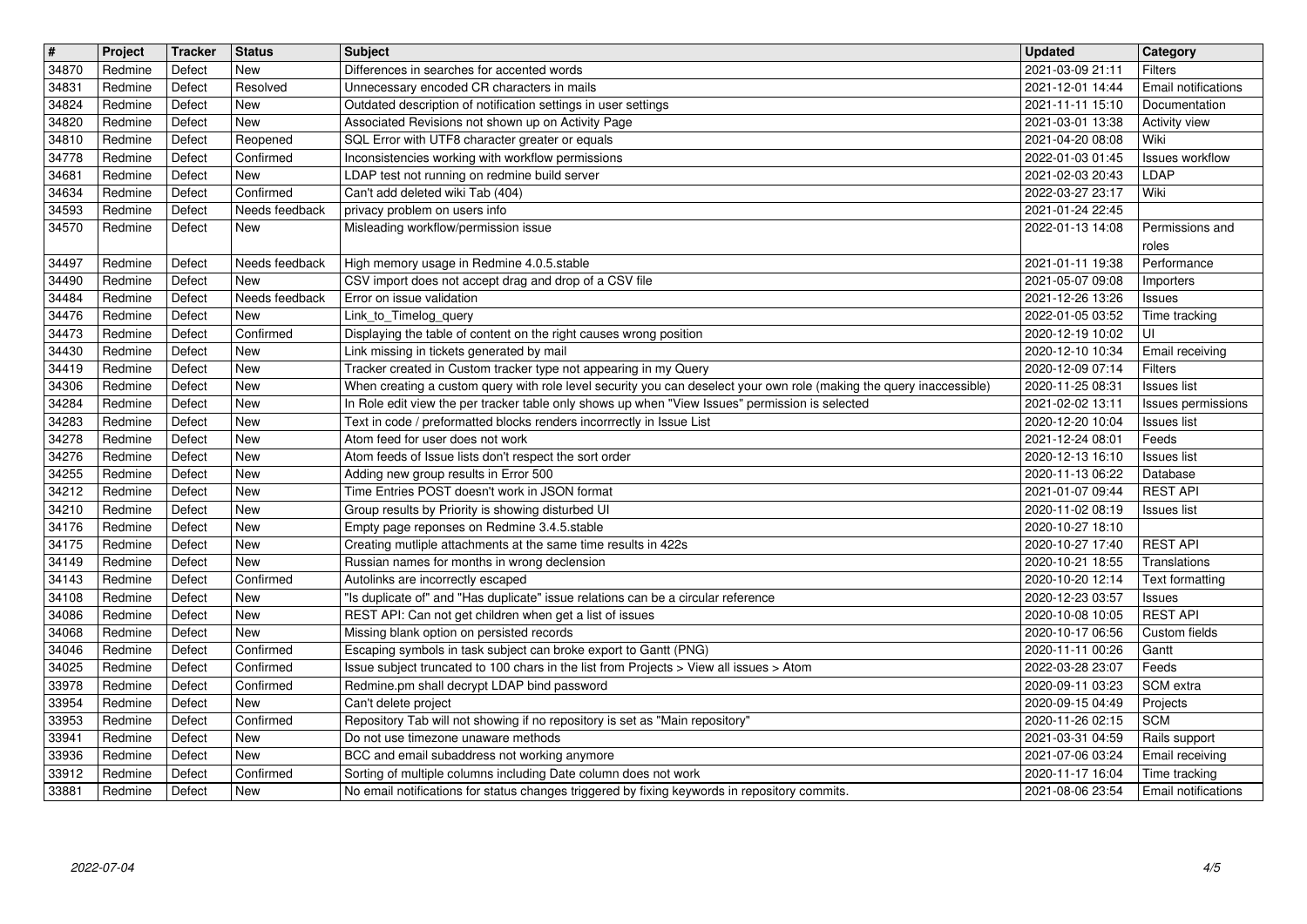| $\overline{\boldsymbol{H}}$ | Project | Tracker | <b>Status</b>  | <b>Subject</b>                                                                                                       | <b>Updated</b>   | Category                   |
|-----------------------------|---------|---------|----------------|----------------------------------------------------------------------------------------------------------------------|------------------|----------------------------|
| 34870                       | Redmine | Defect  | New            | Differences in searches for accented words                                                                           | 2021-03-09 21:11 | <b>Filters</b>             |
| 34831                       | Redmine | Defect  | Resolved       | Unnecessary encoded CR characters in mails                                                                           | 2021-12-01 14:44 | Email notifications        |
| 34824                       | Redmine | Defect  | <b>New</b>     | Outdated description of notification settings in user settings                                                       | 2021-11-11 15:10 | Documentation              |
| 34820                       | Redmine | Defect  | New            | Associated Revisions not shown up on Activity Page                                                                   | 2021-03-01 13:38 | <b>Activity view</b>       |
| 34810                       | Redmine | Defect  | Reopened       | SQL Error with UTF8 character greater or equals                                                                      | 2021-04-20 08:08 | Wiki                       |
| 34778                       | Redmine | Defect  | Confirmed      | Inconsistencies working with workflow permissions                                                                    | 2022-01-03 01:45 | <b>Issues workflow</b>     |
| 34681                       | Redmine | Defect  | New            | LDAP test not running on redmine build server                                                                        | 2021-02-03 20:43 | LDAP                       |
| 34634                       | Redmine | Defect  | Confirmed      | Can't add deleted wiki Tab (404)                                                                                     | 2022-03-27 23:17 | Wiki                       |
| 34593                       | Redmine | Defect  | Needs feedback | privacy problem on users info                                                                                        | 2021-01-24 22:45 | Permissions and            |
| 34570                       | Redmine | Defect  | New            | Misleading workflow/permission issue                                                                                 | 2022-01-13 14:08 | roles                      |
| 34497                       | Redmine | Defect  | Needs feedback | High memory usage in Redmine 4.0.5.stable                                                                            | 2021-01-11 19:38 | Performance                |
| 34490                       | Redmine | Defect  | New            | CSV import does not accept drag and drop of a CSV file                                                               | 2021-05-07 09:08 | Importers                  |
| 34484                       | Redmine | Defect  | Needs feedback | Error on issue validation                                                                                            | 2021-12-26 13:26 | <b>Issues</b>              |
| 34476                       | Redmine | Defect  | New            | Link_to_Timelog_query                                                                                                | 2022-01-05 03:52 | Time tracking              |
| 34473                       | Redmine | Defect  | Confirmed      | Displaying the table of content on the right causes wrong position                                                   | 2020-12-19 10:02 | UI                         |
| 34430                       | Redmine | Defect  | New            | Link missing in tickets generated by mail                                                                            | 2020-12-10 10:34 | Email receiving            |
| 34419                       | Redmine | Defect  | New            | Tracker created in Custom tracker type not appearing in my Query                                                     | 2020-12-09 07:14 | <b>Filters</b>             |
| 34306                       | Redmine | Defect  | New            | When creating a custom query with role level security you can deselect your own role (making the query inaccessible) | 2020-11-25 08:31 | Issues list                |
| 34284                       | Redmine | Defect  | New            | In Role edit view the per tracker table only shows up when "View Issues" permission is selected                      | 2021-02-02 13:11 | Issues permissions         |
| 34283                       | Redmine | Defect  | New            | Text in code / preformatted blocks renders incorrrectly in Issue List                                                | 2020-12-20 10:04 | <b>Issues list</b>         |
| 34278                       | Redmine | Defect  | New            | Atom feed for user does not work                                                                                     | 2021-12-24 08:01 | Feeds                      |
| 34276                       | Redmine | Defect  | New            | Atom feeds of Issue lists don't respect the sort order                                                               | 2020-12-13 16:10 | <b>Issues list</b>         |
| 34255                       | Redmine | Defect  | New            | Adding new group results in Error 500                                                                                | 2020-11-13 06:22 | Database                   |
| 34212                       | Redmine | Defect  | New            | Time Entries POST doesn't work in JSON format                                                                        | 2021-01-07 09:44 | <b>REST API</b>            |
| 34210                       | Redmine | Defect  | New            | Group results by Priority is showing disturbed UI                                                                    | 2020-11-02 08:19 | <b>Issues list</b>         |
| 34176                       | Redmine | Defect  | New            | Empty page reponses on Redmine 3.4.5.stable                                                                          | 2020-10-27 18:10 |                            |
| 34175                       | Redmine | Defect  | New            | Creating mutliple attachments at the same time results in 422s                                                       | 2020-10-27 17:40 | <b>REST API</b>            |
| 34149                       | Redmine | Defect  | New            | Russian names for months in wrong declension                                                                         | 2020-10-21 18:55 | Translations               |
| 34143                       | Redmine | Defect  | Confirmed      | Autolinks are incorrectly escaped                                                                                    | 2020-10-20 12:14 | Text formatting            |
| 34108                       | Redmine | Defect  | New            | "Is duplicate of" and "Has duplicate" issue relations can be a circular reference                                    | 2020-12-23 03:57 | Issues                     |
| 34086                       | Redmine | Defect  | <b>New</b>     | REST API: Can not get children when get a list of issues                                                             | 2020-10-08 10:05 | <b>REST API</b>            |
| 34068                       | Redmine | Defect  | New            | Missing blank option on persisted records                                                                            | 2020-10-17 06:56 | Custom fields              |
| 34046                       | Redmine | Defect  | Confirmed      | Escaping symbols in task subject can broke export to Gantt (PNG)                                                     | 2020-11-11 00:26 | Gantt                      |
| 34025                       | Redmine | Defect  | Confirmed      | Issue subject truncated to 100 chars in the list from Projects > View all issues > Atom                              | 2022-03-28 23:07 | Feeds                      |
| 33978                       | Redmine | Defect  | Confirmed      | Redmine.pm shall decrypt LDAP bind password                                                                          | 2020-09-11 03:23 | SCM extra                  |
| 33954                       | Redmine | Defect  | New            | Can't delete project                                                                                                 | 2020-09-15 04:49 | Projects                   |
| 33953                       | Redmine | Defect  | Confirmed      | Repository Tab will not showing if no repository is set as "Main repository"                                         | 2020-11-26 02:15 | <b>SCM</b>                 |
| 33941                       | Redmine | Defect  | New            | Do not use timezone unaware methods                                                                                  | 2021-03-31 04:59 | Rails support              |
| 33936                       | Redmine | Defect  | New            | BCC and email subaddress not working anymore                                                                         | 2021-07-06 03:24 | Email receiving            |
| 33912                       | Redmine | Defect  | Confirmed      | Sorting of multiple columns including Date column does not work                                                      | 2020-11-17 16:04 | Time tracking              |
| 33881                       | Redmine | Defect  | New            | No email notifications for status changes triggered by fixing keywords in repository commits.                        | 2021-08-06 23:54 | <b>Email notifications</b> |
|                             |         |         |                |                                                                                                                      |                  |                            |
|                             |         |         |                |                                                                                                                      |                  |                            |
|                             |         |         |                |                                                                                                                      |                  |                            |
|                             |         |         |                |                                                                                                                      |                  |                            |